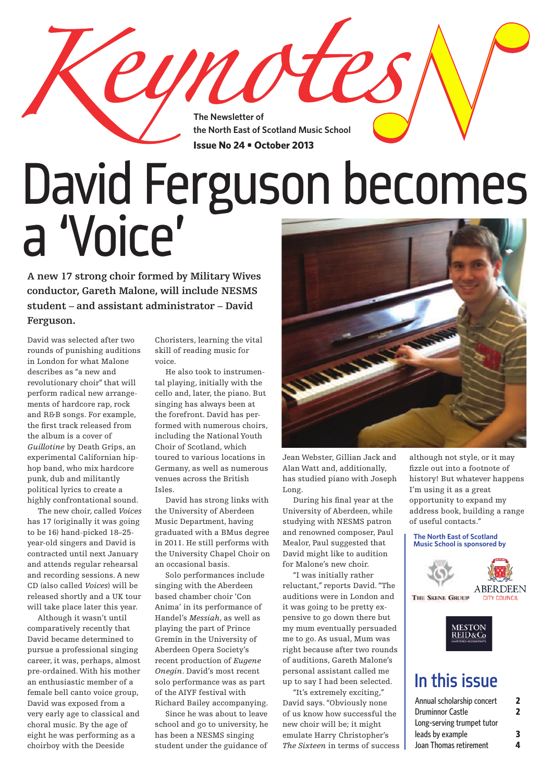**The Newsletter of the North East of Scotland Music School Issue No 24 • October 2013**

# David Ferguson becomes a 'Voice'

**<sup>A</sup> new <sup>17</sup> strong choir formed by Military Wives conductor, Gareth Malone, will include NESMS student – and assistant administrator – David Ferguson.**

David was selected after two rounds of punishing auditions in London for what Malone describes as "a new and revolutionary choir" that will perform radical new arrangements of hardcore rap, rock and R&B songs. For example, the first track released from the album is a cover of *Guillotine* by Death Grips, an experimental Californian hiphop band, who mix hardcore punk, dub and militantly political lyrics to create a highly confrontational sound.

 The new choir, called *Voices* has 17 (originally it was going to be 16) hand-picked 18–25 year-old singers and David is contracted until next January and attends regular rehearsal and recording sessions. A new CD (also called *Voices*) will be released shortly and a UK tour will take place later this year.

 Although it wasn't until comparatively recently that David became determined to pursue a professional singing career, it was, perhaps, almost pre-ordained. With his mother an enthusiastic member of a female bell canto voice group, David was exposed from a very early age to classical and choral music. By the age of eight he was performing as a choirboy with the Deeside

Choristers, learning the vital skill of reading music for voice.

und

 He also took to instrumental playing, initially with the cello and, later, the piano. But singing has always been at the forefront. David has performed with numerous choirs, including the National Youth Choir of Scotland, which toured to various locations in Germany, as well as numerous venues across the British Isles.

 David has strong links with the University of Aberdeen Music Department, having graduated with a BMus degree in 2011. He still performs with the University Chapel Choir on an occasional basis.

 Solo performances include singing with the Aberdeen based chamber choir 'Con Anima' in its performance of Handel's *Messiah*, as well as playing the part of Prince Gremin in the University of Aberdeen Opera Society's recent production of *Eugene Onegin*. David's most recent solo performance was as part of the AIYF festival with

Richard Bailey accompanying. Since he was about to leave school and go to university, he has been a NESMS singing student under the guidance of



Jean Webster, Gillian Jack and Alan Watt and, additionally, has studied piano with Joseph Long.

 During his final year at the University of Aberdeen, while studying with NESMS patron and renowned composer, Paul Mealor, Paul suggested that David might like to audition for Malone's new choir.

 "I was initially rather reluctant," reports David."The auditions were in London and it was going to be pretty expensive to go down there but my mum eventually persuaded me to go. As usual, Mum was right because after two rounds of auditions, Gareth Malone's personal assistant called me up to say I had been selected.

 "It's extremely exciting," David says."Obviously none of us know how successful the new choir will be; it might emulate Harry Christopher's *The Sixteen* in terms of success although not style, or it may fizzle out into a footnote of history! But whatever happens I'm using it as a great opportunity to expand my address book, building a range of useful contacts."

#### **The North East of Scotland Music School is sponsored by**





### In this issue

| Annual scholarship concert | 7 |
|----------------------------|---|
| <b>Druminnor Castle</b>    | 2 |
| Long-serving trumpet tutor |   |
| leads by example           | 3 |
| Joan Thomas retirement     | 4 |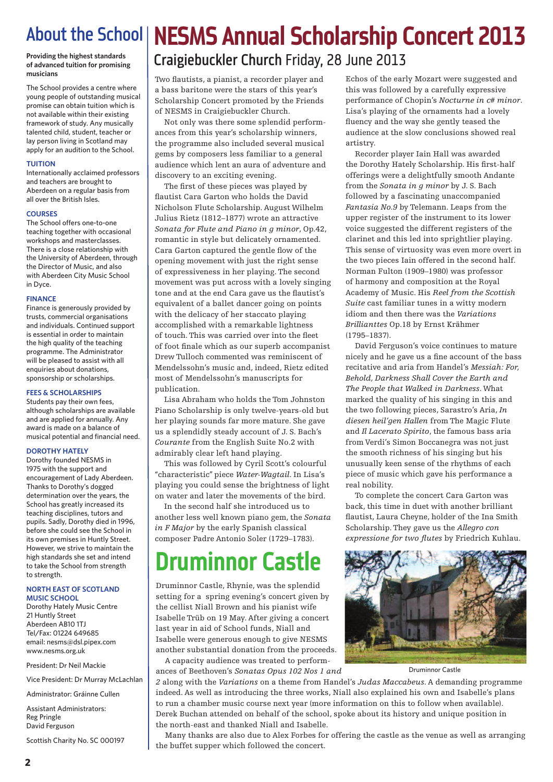**Providing the highest standards of advanced tuition for promising musicians**

The School provides a centre where young people of outstanding musical promise can obtain tuition which is not available within their existing framework of study. Any musically talented child, student, teacher or lay person living in Scotland may apply for an audition to the School.

#### **TUITION**

Internationally acclaimed professors and teachers are brought to Aberdeen on a regular basis from all over the British Isles.

### **COURSES**

The School offers one-to-one teaching together with occasional workshops and masterclasses. There is a close relationship with the University of Aberdeen, through the Director of Music, and also with Aberdeen City Music School in Dyce.

### **FINANCE**

Finance is generously provided by trusts, commercial organisations and individuals. Continued support is essential in order to maintain the high quality of the teaching programme. The Administrator will be pleased to assist with all enquiries about donations, sponsorship or scholarships.

### **FEES & SCHOLARSHIPS**

Students pay their own fees, although scholarships are available and are applied for annually. Any award is made on a balance of musical potential and financial need.

### **DOROTHY HATELY**

Dorothy founded NESMS in 1975 with the support and encouragement of Lady Aberdeen. Thanks to Dorothy's dogged determination over the years, the School has greatly increased its teaching disciplines, tutors and pupils. Sadly, Dorothy died in 1996, before she could see the School in its own premises in Huntly Street. However, we strive to maintain the high standards she set and intend to take the School from strength to strength.

#### **NORTH EAST OF SCOTLAND MUSIC SCHOOL**

Dorothy Hately Music Centre 21 Huntly Street Aberdeen AB10 1TJ Tel/Fax: 01224 649685 email: nesms@dsl.pipex.com www.nesms.org.uk

President: Dr Neil Mackie

Vice President: Dr Murray McLachlan

Administrator: Gráinne Cullen

Assistant Administrators: Reg Pringle David Ferguson

Scottish Charity No. SC 000197

# About the School **NESMS Annual Scholarship Concert 2013**

### Craigiebuckler Church Friday, 28 June 2013

Two flautists, a pianist, a recorder player and a bass baritone were the stars of this year's Scholarship Concert promoted by the Friends of NESMS in Craigiebuckler Church.

 Not only was there some splendid performances from this year's scholarship winners, the programme also included several musical gems by composers less familiar to a general audience which lent an aura of adventure and discovery to an exciting evening.

 The first of these pieces was played by flautist Cara Garton who holds the David Nicholson Flute Scholarship. August Wilhelm Julius Rietz (1812–1877) wrote an attractive *Sonata for Flute and Piano in g minor*, Op.42, romantic in style but delicately ornamented. Cara Garton captured the gentle flow of the opening movement with just the right sense of expressiveness in her playing.The second movement was put across with a lovely singing tone and at the end Cara gave us the flautist's equivalent of a ballet dancer going on points with the delicacy of her staccato playing accomplished with a remarkable lightness of touch.This was carried over into the fleet of foot finale which as our superb accompanist Drew Tulloch commented was reminiscent of Mendelssohn's music and, indeed, Rietz edited most of Mendelssohn's manuscripts for publication.

 Lisa Abraham who holds the Tom Johnston Piano Scholarship is only twelve-years-old but her playing sounds far more mature. She gave us a splendidly steady account of J. S. Bach's *Courante* from the English Suite No.2 with admirably clear left hand playing.

 This was followed by Cyril Scott's colourful "characteristic" piece *Water-Wagtail*. In Lisa's playing you could sense the brightness of light on water and later the movements of the bird.

 In the second half she introduced us to another less well known piano gem, the *Sonata in F Major* by the early Spanish classical composer Padre Antonio Soler (1729–1783).

## **Druminnor Castle**

Druminnor Castle, Rhynie, was the splendid setting for a spring evening's concert given by the cellist Niall Brown and his pianist wife Isabelle Trüb on 19 May. After giving a concert last year in aid of School funds, Niall and Isabelle were generous enough to give NESMS another substantial donation from the proceeds.

 A capacity audience was treated to performances of Beethoven's *Sonatas Opus 102 Nos 1 and*

*2* along with the *Variations* on a theme from Handel's *Judas Maccabeus*. A demanding programme indeed. As well as introducing the three works, Niall also explained his own and Isabelle's plans to run a chamber music course next year (more information on this to follow when available). Derek Buchan attended on behalf of the school, spoke about its history and unique position in the north-east and thanked Niall and Isabelle.

 Many thanks are also due to Alex Forbes for offering the castle as the venue as well as arranging the buffet supper which followed the concert.

Echos of the early Mozart were suggested and this was followed by a carefully expressive performance of Chopin's *Nocturne in c# minor*. Lisa's playing of the ornaments had a lovely fluency and the way she gently teased the audience at the slow conclusions showed real artistry.

 Recorder player Iain Hall was awarded the Dorothy Hately Scholarship. His first-half offerings were a delightfully smooth Andante from the *Sonata in g minor* by J. S. Bach followed by a fascinating unaccompanied *Fantasia No.9* by Telemann. Leaps from the upper register of the instrument to its lower voice suggested the different registers of the clarinet and this led into sprightlier playing. This sense of virtuosity was even more overt in the two pieces Iain offered in the second half. Norman Fulton (1909–1980) was professor of harmony and composition at the Royal Academy of Music. His *Reel from the Scottish Suite* cast familiar tunes in a witty modern idiom and then there was the *Variations Brillianttes* Op.18 by Ernst Krähmer (1795–1837).

 David Ferguson's voice continues to mature nicely and he gave us a fine account of the bass recitative and aria from Handel's *Messiah: For, Behold, Darkness Shall Cover the Earth and The People that Walked in Darkness*. What marked the quality of his singing in this and the two following pieces, Sarastro's Aria, *In diesen heil'gen Hallen* from The Magic Flute and *Il Lacerato Spirito*, the famous bass aria from Verdi's Simon Boccanegra was not just the smooth richness of his singing but his unusually keen sense of the rhythms of each piece of music which gave his performance a real nobility.

 To complete the concert Cara Garton was back, this time in duet with another brilliant flautist, Laura Cheyne, holder of the Ina Smith Scholarship.They gave us the *Allegro con expressione for two flutes* by Friedrich Kuhlau.



Druminnor Castle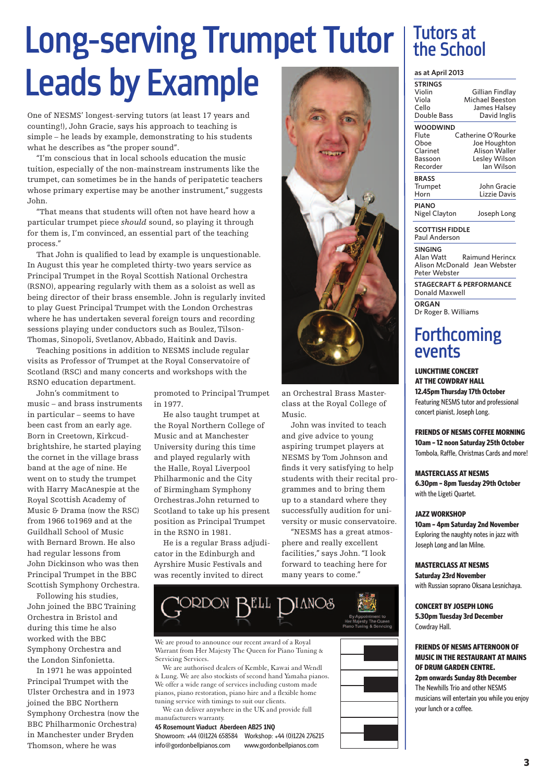# Long-serving Trumpet Tutor | Tutors at Leads by Example

One of NESMS' longest-serving tutors (at least 17 years and counting!), John Gracie, says his approach to teaching is simple – he leads by example, demonstrating to his students what he describes as "the proper sound".

 "I'm conscious that in local schools education the music tuition, especially of the non-mainstream instruments like the trumpet, can sometimes be in the hands of peripatetic teachers whose primary expertise may be another instrument," suggests John.

 "That means that students will often not have heard how a particular trumpet piece *should* sound, so playing it through for them is, I'm convinced, an essential part of the teaching process."

 That John is qualified to lead by example is unquestionable. In August this year he completed thirty-two years service as Principal Trumpet in the Royal Scottish National Orchestra (RSNO), appearing regularly with them as a soloist as well as being director of their brass ensemble. John is regularly invited to play Guest Principal Trumpet with the London Orchestras where he has undertaken several foreign tours and recording sessions playing under conductors such as Boulez, Tilson-Thomas, Sinopoli, Svetlanov, Abbado, Haitink and Davis.

 Teaching positions in addition to NESMS include regular visits as Professor of Trumpet at the Royal Conservatoire of Scotland (RSC) and many concerts and workshops with the RSNO education department.

John's commitment to music – and brass instruments in particular – seems to have been cast from an early age. Born in Creetown, Kirkcudbrightshire, he started playing the cornet in the village brass band at the age of nine. He went on to study the trumpet with Harry MacAnespie at the Royal Scottish Academy of Music & Drama (now the RSC) from 1966 to1969 and at the Guildhall School of Music with Bernard Brown. He also had regular lessons from John Dickinson who was then Principal Trumpet in the BBC Scottish Symphony Orchestra.

Following his studies, John joined the BBC Training Orchestra in Bristol and during this time he also worked with the BBC Symphony Orchestra and the London Sinfonietta.

In 1971 he was appointed Principal Trumpet with the Ulster Orchestra and in 1973 joined the BBC Northern Symphony Orchestra (now the BBC Philharmonic Orchestra) in Manchester under Bryden Thomson, where he was

promoted to Principal Trumpet in 1977.

 He also taught trumpet at the Royal Northern College of Music and at Manchester University during this time and played regularly with the Halle, Royal Liverpool Philharmonic and the City of Birmingham Symphony Orchestras.John returned to Scotland to take up his present position as Principal Trumpet in the RSNO in 1981.

 He is a regular Brass adjudicator in the Edinburgh and Ayrshire Music Festivals and was recently invited to direct



an Orchestral Brass Masterclass at the Royal College of Music.

 John was invited to teach and give advice to young aspiring trumpet players at NESMS by Tom Johnson and finds it very satisfying to help students with their recital programmes and to bring them up to a standard where they successfully audition for university or music conservatoire.

 "NESMS has a great atmosphere and really excellent facilities," says John."I look forward to teaching here for many years to come."



We are proud to announce our recent award of a Royal Warrant from Her Majesty The Queen for Piano Tuning & Servicing Services.

We are authorised dealers of Kemble, Kawai and Wendl & Lung. We are also stockists of second hand Yamaha pianos. We offer a wide range of services including custom made pianos, piano restoration, piano hire and a flexible home tuning service with timings to suit our clients.

We can deliver anywhere in the UK and provide full manufacturers warranty.

45 Rosemount Viaduct Aberdeen AB25 1NQ

Showroom: +44 (0)1224 658584 Workshop: +44 (0)1224 276215 info@gordonbellpianos.com www.gordonbellpianos.com



# Tutors at

### **as at April 2013**

| <b>STRINGS</b><br>Violin<br>Viola<br>Cello<br>Double Bass | Gillian Findlay<br>Michael Beeston<br>James Halsey<br>David Inglis |
|-----------------------------------------------------------|--------------------------------------------------------------------|
| <b>WOODWIND</b>                                           |                                                                    |
| Flute                                                     | Catherine O'Rourke                                                 |
| Oboe                                                      | Joe Houghton                                                       |
| Clarinet                                                  | <b>Alison Waller</b>                                               |
| Bassoon                                                   | Lesley Wilson                                                      |
| Recorder                                                  | lan Wilson                                                         |
| <b>BRASS</b>                                              |                                                                    |
| Trumpet                                                   | John Gracie                                                        |
| Horn                                                      | Lizzie Davis                                                       |
| <b>PIANO</b>                                              |                                                                    |
| Nigel Clayton                                             | Joseph Long                                                        |
|                                                           |                                                                    |

**SCOTTISH FIDDLE** Paul Anderson

**SINGING**<br>Alan Watt

**Raimund Herincx** Alison McDonald Jean Webster Peter Webster

**STAGECRAFT & PERFORMANCE** Donald Maxwell

**ORGAN** Dr Roger B. Williams

### **Forthcoming** events

### **LUNCHTIME CONCERT AT THE COWDRAY HALL**

**12.45pm Thursday 17th October** Featuring NESMS tutor and professional concert pianist, Joseph Long.

**FRIENDS OF NESMS COFFEE MORNING 10am –12 noon Saturday 25th October** Tombola, Raffle, Christmas Cards and more!

**MASTERCLASS AT NESMS 6.30pm – 8pm Tuesday 29th October** with the Ligeti Quartet.

### **JAZZ WORKSHOP**

**10am – 4pm Saturday 2nd November** Exploring the naughty notes in jazz with Joseph Long and Ian Milne.

### **MASTERCLASS AT NESMS**

**Saturday 23rd November** with Russian soprano Oksana Lesnichaya.

**CONCERT BY JOSEPH LONG 5.30pm Tuesday 3rd December** Cowdray Hall.

### **FRIENDS OF NESMS AFTERNOON OF MUSIC IN THE RESTAURANT AT MAINS OF DRUM GARDEN CENTRE. 2pm onwards Sunday 8th December** The Newhills Trio and other NESMS

musicians will entertain you while you enjoy your lunch or a coffee.